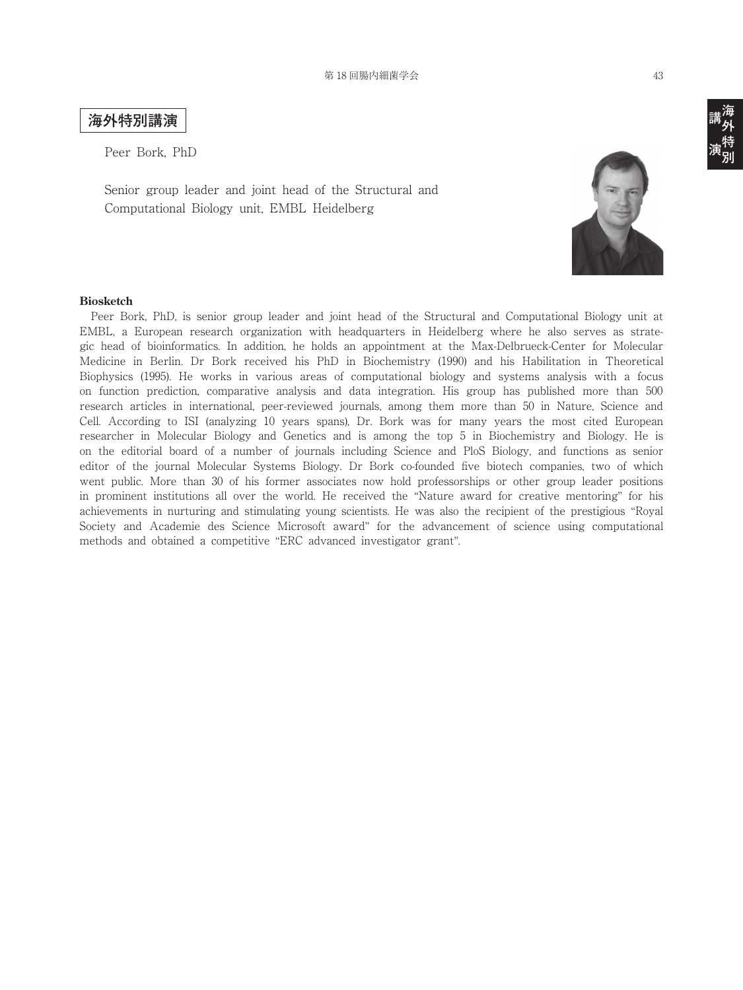## **海外特別講演**

Peer Bork, PhD

Senior group leader and joint head of the Structural and Computational Biology unit, EMBL Heidelberg



## **Biosketch**

 Peer Bork, PhD, is senior group leader and joint head of the Structural and Computational Biology unit at EMBL, a European research organization with headquarters in Heidelberg where he also serves as strategic head of bioinformatics. In addition, he holds an appointment at the Max-Delbrueck-Center for Molecular Medicine in Berlin. Dr Bork received his PhD in Biochemistry (1990) and his Habilitation in Theoretical Biophysics (1995). He works in various areas of computational biology and systems analysis with a focus on function prediction, comparative analysis and data integration. His group has published more than 500 research articles in international, peer-reviewed journals, among them more than 50 in Nature, Science and Cell. According to ISI (analyzing 10 years spans), Dr. Bork was for many years the most cited European researcher in Molecular Biology and Genetics and is among the top 5 in Biochemistry and Biology. He is on the editorial board of a number of journals including Science and PloS Biology, and functions as senior editor of the journal Molecular Systems Biology. Dr Bork co-founded five biotech companies, two of which went public. More than 30 of his former associates now hold professorships or other group leader positions in prominent institutions all over the world. He received the "Nature award for creative mentoring" for his achievements in nurturing and stimulating young scientists. He was also the recipient of the prestigious "Royal Society and Academie des Science Microsoft award" for the advancement of science using computational methods and obtained a competitive "ERC advanced investigator grant".